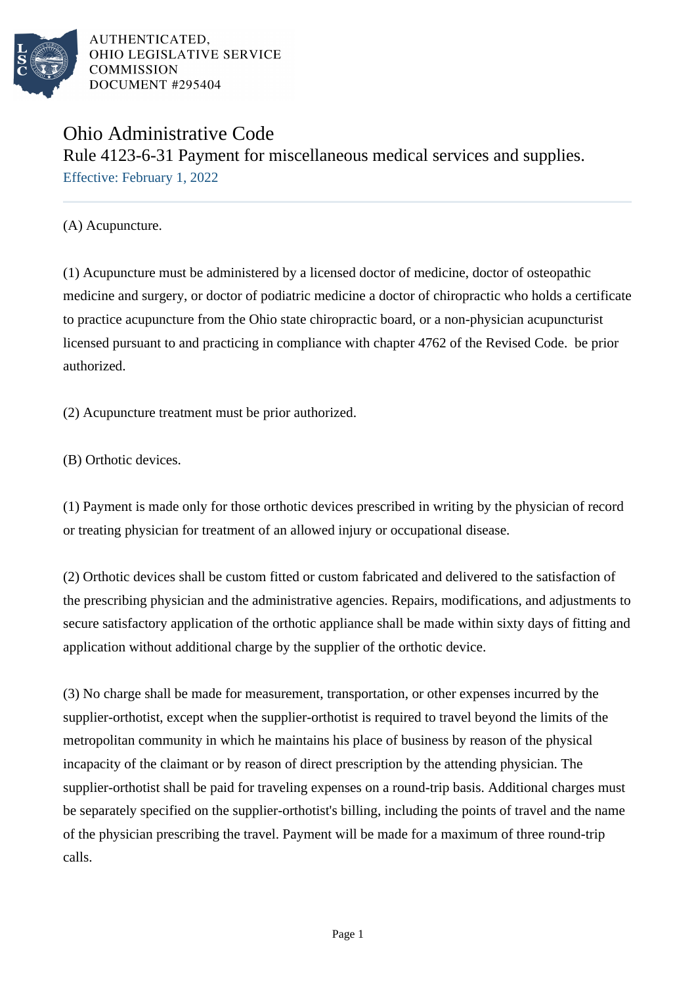

AUTHENTICATED. OHIO LEGISLATIVE SERVICE **COMMISSION** DOCUMENT #295404

## Ohio Administrative Code Rule 4123-6-31 Payment for miscellaneous medical services and supplies. Effective: February 1, 2022

(A) Acupuncture.

(1) Acupuncture must be administered by a licensed doctor of medicine, doctor of osteopathic medicine and surgery, or doctor of podiatric medicine a doctor of chiropractic who holds a certificate to practice acupuncture from the Ohio state chiropractic board, or a non-physician acupuncturist licensed pursuant to and practicing in compliance with chapter 4762 of the Revised Code. be prior authorized.

(2) Acupuncture treatment must be prior authorized.

(B) Orthotic devices.

(1) Payment is made only for those orthotic devices prescribed in writing by the physician of record or treating physician for treatment of an allowed injury or occupational disease.

(2) Orthotic devices shall be custom fitted or custom fabricated and delivered to the satisfaction of the prescribing physician and the administrative agencies. Repairs, modifications, and adjustments to secure satisfactory application of the orthotic appliance shall be made within sixty days of fitting and application without additional charge by the supplier of the orthotic device.

(3) No charge shall be made for measurement, transportation, or other expenses incurred by the supplier-orthotist, except when the supplier-orthotist is required to travel beyond the limits of the metropolitan community in which he maintains his place of business by reason of the physical incapacity of the claimant or by reason of direct prescription by the attending physician. The supplier-orthotist shall be paid for traveling expenses on a round-trip basis. Additional charges must be separately specified on the supplier-orthotist's billing, including the points of travel and the name of the physician prescribing the travel. Payment will be made for a maximum of three round-trip calls.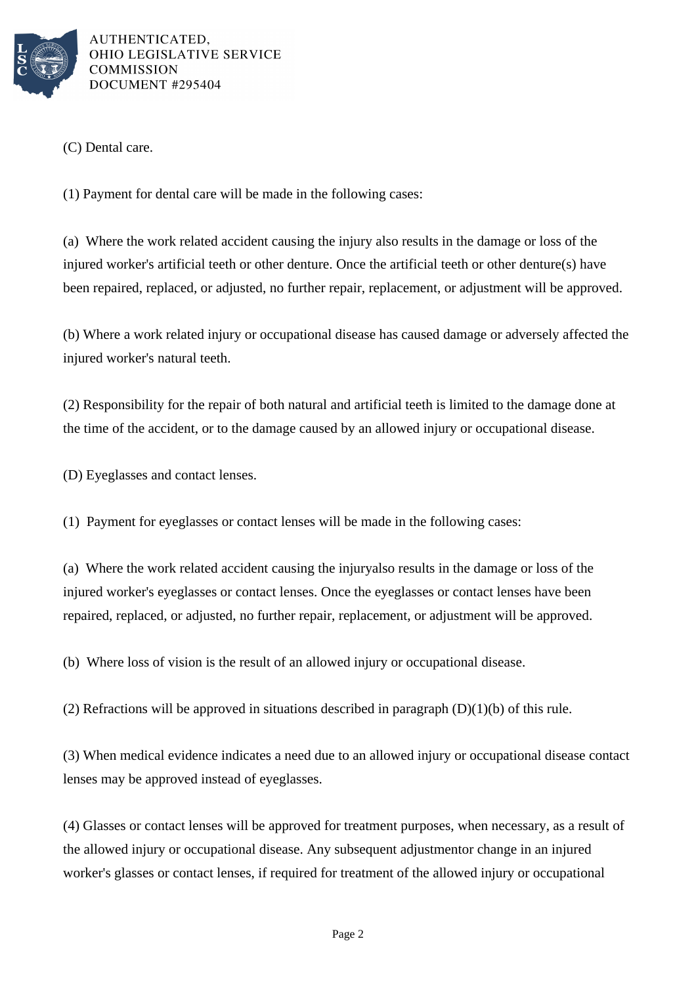

AUTHENTICATED. OHIO LEGISLATIVE SERVICE **COMMISSION** DOCUMENT #295404

(C) Dental care.

(1) Payment for dental care will be made in the following cases:

(a) Where the work related accident causing the injury also results in the damage or loss of the injured worker's artificial teeth or other denture. Once the artificial teeth or other denture(s) have been repaired, replaced, or adjusted, no further repair, replacement, or adjustment will be approved.

(b) Where a work related injury or occupational disease has caused damage or adversely affected the injured worker's natural teeth.

(2) Responsibility for the repair of both natural and artificial teeth is limited to the damage done at the time of the accident, or to the damage caused by an allowed injury or occupational disease.

(D) Eyeglasses and contact lenses.

(1) Payment for eyeglasses or contact lenses will be made in the following cases:

(a) Where the work related accident causing the injuryalso results in the damage or loss of the injured worker's eyeglasses or contact lenses. Once the eyeglasses or contact lenses have been repaired, replaced, or adjusted, no further repair, replacement, or adjustment will be approved.

(b) Where loss of vision is the result of an allowed injury or occupational disease.

(2) Refractions will be approved in situations described in paragraph  $(D)(1)(b)$  of this rule.

(3) When medical evidence indicates a need due to an allowed injury or occupational disease contact lenses may be approved instead of eyeglasses.

(4) Glasses or contact lenses will be approved for treatment purposes, when necessary, as a result of the allowed injury or occupational disease. Any subsequent adjustmentor change in an injured worker's glasses or contact lenses, if required for treatment of the allowed injury or occupational